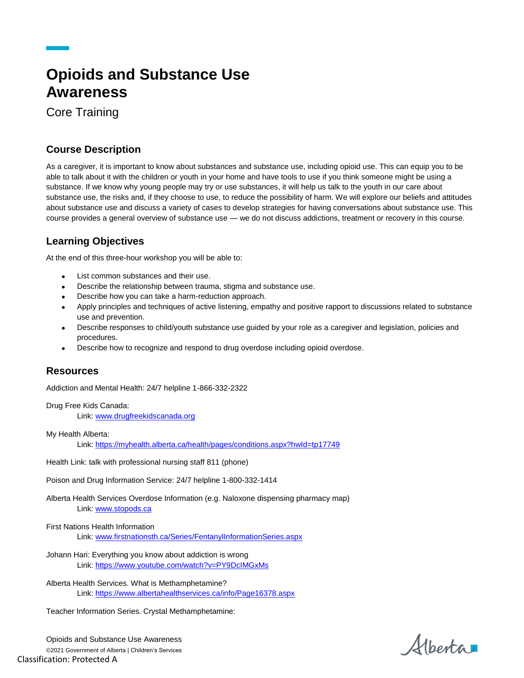# **Opioids and Substance Use Awareness**

Core Training

### **Course Description**

As a caregiver, it is important to know about substances and substance use, including opioid use. This can equip you to be able to talk about it with the children or youth in your home and have tools to use if you think someone might be using a substance. If we know why young people may try or use substances, it will help us talk to the youth in our care about substance use, the risks and, if they choose to use, to reduce the possibility of harm. We will explore our beliefs and attitudes about substance use and discuss a variety of cases to develop strategies for having conversations about substance use. This course provides a general overview of substance use — we do not discuss addictions, treatment or recovery in this course.

## **Learning Objectives**

At the end of this three-hour workshop you will be able to:

- List common substances and their use.
- Describe the relationship between trauma, stigma and substance use.
- Describe how you can take a harm-reduction approach.
- Apply principles and techniques of active listening, empathy and positive rapport to discussions related to substance use and prevention.
- Describe responses to child/youth substance use guided by your role as a caregiver and legislation, policies and procedures.
- Describe how to recognize and respond to drug overdose including opioid overdose.

#### **Resources**

Addiction and Mental Health: 24/7 helpline 1-866-332-2322

Drug Free Kids Canada:

Link[: www.drugfreekidscanada.org](http://www.drugfreekidscanada.org/)

My Health Alberta:

Link[: https://myhealth.alberta.ca/health/pages/conditions.aspx?hwId=tp17749](https://myhealth.alberta.ca/health/pages/conditions.aspx?hwId=tp17749)

Health Link: talk with professional nursing staff 811 (phone)

Poison and Drug Information Service: 24/7 helpline 1-800-332-1414

Alberta Health Services Overdose Information (e.g. Naloxone dispensing pharmacy map) Link[: www.stopods.ca](http://www.stopods.ca/)

#### First Nations Health Information

Link[: www.firstnationsth.ca/Series/FentanylInformationSeries.aspx](http://www.firstnationsth.ca/Series/FentanylInformationSeries.aspx)

- Johann Hari: Everything you know about addiction is wrong Link[: https://www.youtube.com/watch?v=PY9DcIMGxMs](https://www.youtube.com/watch?v=PY9DcIMGxMs)
- Alberta Health Services. What is Methamphetamine? Link[: https://www.albertahealthservices.ca/info/Page16378.aspx](https://www.albertahealthservices.ca/info/Page16378.aspx)

Teacher Information Series. Crystal Methamphetamine:

Opioids and Substance Use Awareness ©2021 Government of Alberta | Children's Services Classification: Protected A

Albertar